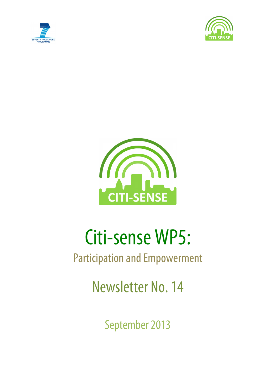





# Citi-sense WP5:

# Participation and Empowerment

Newsletter No. 14

September 2013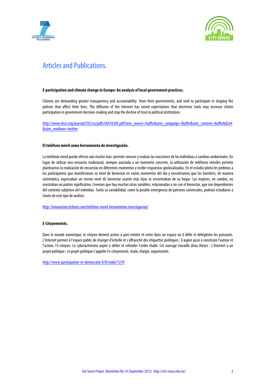



## Articles and Publications.

#### **E-participation and climate change in Europe: An analysis of local government practices.**

Citizens are demanding greater transparency and accountability from their governments, and seek to participate in shaping the policies that affect their lives. The diffusion of the Internet has raised expectations that electronic tools may increase citizen participation in government decision-making and stop the decline of trust in political institutions.

http://www.iiisci.org/journal/CV\$/sci/pdfs/iHA763VE.pdf?utm\_source=buffer&utm\_campaign=Buffer&utm\_content=bufferbd2e4 &utm\_medium=twitter

#### **El teléfono móvil como herramienta de investigación.**

La telefonía móvil puede ofrecer aún mucho más: permite conocer y evaluar las reacciones de los individuos a cambios ambientales. En lugar de utilizar una encuesta tradicional, siempre asociada a un momento concreto, la utilización de teléfonos móviles permite plantearnos la realización de encuestas en diferentes momentos y recibir respuestas geolocalizadas. En el estudio piloto les pedimos a los participantes que manifestasen su nivel de bienestar en varios momentos del día y encontramos que los hombres, de manera sistemática, expresaban un menor nivel de bienestar cuanto más lejos se encontraban de su hogar. Las mujeres, en cambio, no mostraban un patrón significativo. Creemos que hay muchas otras variables, relacionadas o no con el bienestar, que son dependientes del contexto subjetivo del individuo. Tanto su variabilidad, como la posible emergencia de patrones universales, podrían estudiarse a través de este tipo de análisis.

http://innovacion.ticbeat.com/telefono-movil-herramienta-investigacion/

#### **E-Citoyennetés.**

Dans le monde numérique, le citoyen devient acteur à part entière et entre dans un espace où il défie et délégitime les puissants. L'Internet permet à l'espace public de changer d'échelle et s'affranchit des étiquettes politiques ; il aspire aussi à construire l'auteur et l'acteur, l'e-citoyen. Le cyberactivisme aspire à défier et refonder l'ordre établi. Cet ouvrage travaille deux thèses : L'Internet a un projet politique ; ce projet politique s'appelle l'e-citoyenneté, vitale, élargie, argumentée.

http://www.participation-et-democratie.fr/fr/node/1270